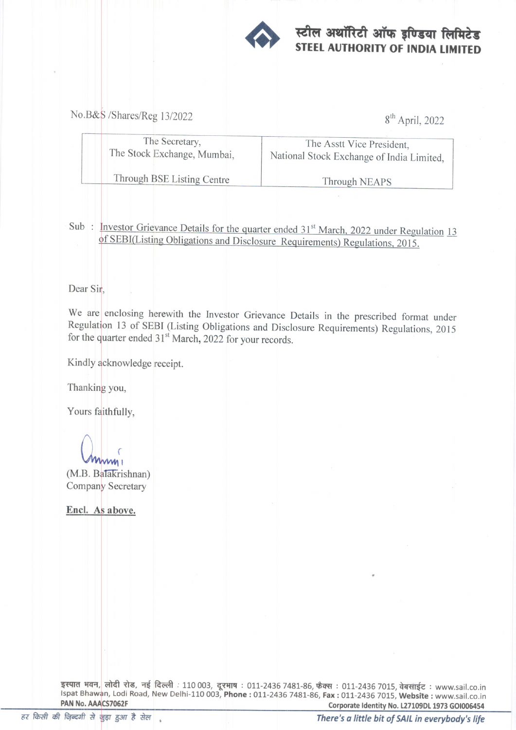

## स्टील अथॉरिटी ऑफ इण्डिया लिमिटेड<br>STEEL AUTHORITY OF INDIA LIMITED

No.B&S /Shares/Reg 13/2022 8<sup>th</sup> April, 2022

| The Secretary,              | The Asstt Vice President.                 |
|-----------------------------|-------------------------------------------|
| The Stock Exchange, Mumbai, | National Stock Exchange of India Limited, |
| Through BSE Listing Centre  | Through NEAPS                             |

Sub: Investor Grievance Details for the quarter ended 31<sup>st</sup> March, 2022 under Regulation 13<br>of SEBI(Listing Obligations and Disclosure Requirements) Regulations, 2015.

Dear Sir,

We are enclosing herewith the Investor Grievance Details in the prescribed format under Regulation 13 of SEBI (Listing Obligations and Disclosure Requirements) Regulations, 2015 for the quarter ended  $31<sup>st</sup>$  March, 2022 for your records.

Kindly acknowledge receipt.

Thanking you,

Yours faithfully,

 $M_{M1}$ 

(M.B. Balakrishnan) Company Secretary

Encl. As above.

इस्पात भवन, लोदी रोड, नई दिल्ली : 110 003, दूरभाष : 011-2436 7481-86, फैक्स : 011-2436 7015, वेबसाईट : www.sail.co.in n, Lodi Road, New Delhi-110 003, Phone : 011-2436 7481-86, Fax : 011-2436 7015, Website : www.sail.co.in PAN No. AAACS7062F Corporate Identity No. L27109DL 1973 GOI006454